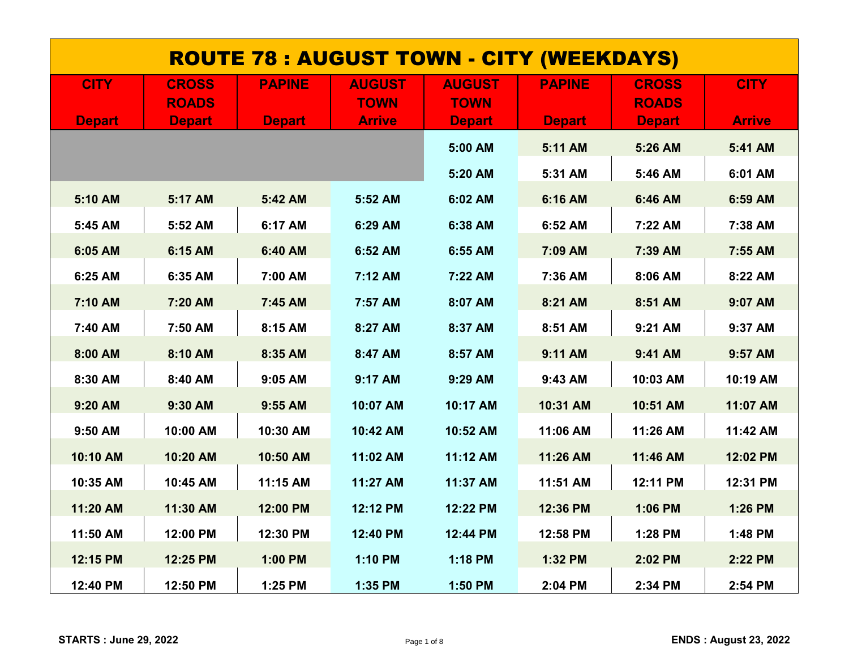| <u>ROUTE 78 : AUGUST TOWN - CITY (WEEKDAYS)</u> |               |               |               |               |               |               |               |  |  |
|-------------------------------------------------|---------------|---------------|---------------|---------------|---------------|---------------|---------------|--|--|
| <b>CITY</b>                                     | <b>CROSS</b>  | <b>PAPINE</b> | <b>AUGUST</b> | <b>AUGUST</b> | <b>PAPINE</b> | <b>CROSS</b>  | <b>CITY</b>   |  |  |
|                                                 | <b>ROADS</b>  |               | <b>TOWN</b>   | <b>TOWN</b>   |               | <b>ROADS</b>  |               |  |  |
| <b>Depart</b>                                   | <b>Depart</b> | <b>Depart</b> | <b>Arrive</b> | <b>Depart</b> | <b>Depart</b> | <b>Depart</b> | <b>Arrive</b> |  |  |
|                                                 |               |               |               | 5:00 AM       | 5:11 AM       | 5:26 AM       | 5:41 AM       |  |  |
|                                                 |               |               |               | 5:20 AM       | 5:31 AM       | 5:46 AM       | 6:01 AM       |  |  |
| 5:10 AM                                         | 5:17 AM       | 5:42 AM       | 5:52 AM       | 6:02 AM       | 6:16 AM       | 6:46 AM       | 6:59 AM       |  |  |
| 5:45 AM                                         | 5:52 AM       | 6:17 AM       | 6:29 AM       | 6:38 AM       | 6:52 AM       | 7:22 AM       | 7:38 AM       |  |  |
| 6:05 AM                                         | 6:15 AM       | 6:40 AM       | 6:52 AM       | 6:55 AM       | 7:09 AM       | 7:39 AM       | 7:55 AM       |  |  |
| 6:25 AM                                         | 6:35 AM       | 7:00 AM       | 7:12 AM       | 7:22 AM       | 7:36 AM       | 8:06 AM       | 8:22 AM       |  |  |
| 7:10 AM                                         | 7:20 AM       | 7:45 AM       | 7:57 AM       | 8:07 AM       | 8:21 AM       | 8:51 AM       | 9:07 AM       |  |  |
| 7:40 AM                                         | 7:50 AM       | 8:15 AM       | 8:27 AM       | 8:37 AM       | 8:51 AM       | 9:21 AM       | 9:37 AM       |  |  |
| 8:00 AM                                         | 8:10 AM       | 8:35 AM       | 8:47 AM       | 8:57 AM       | 9:11 AM       | 9:41 AM       | 9:57 AM       |  |  |
| 8:30 AM                                         | 8:40 AM       | 9:05 AM       | 9:17 AM       | 9:29 AM       | 9:43 AM       | 10:03 AM      | 10:19 AM      |  |  |
| 9:20 AM                                         | 9:30 AM       | 9:55 AM       | 10:07 AM      | 10:17 AM      | 10:31 AM      | 10:51 AM      | 11:07 AM      |  |  |
| 9:50 AM                                         | 10:00 AM      | 10:30 AM      | 10:42 AM      | 10:52 AM      | 11:06 AM      | 11:26 AM      | 11:42 AM      |  |  |
| 10:10 AM                                        | 10:20 AM      | 10:50 AM      | 11:02 AM      | 11:12 AM      | 11:26 AM      | 11:46 AM      | 12:02 PM      |  |  |
| 10:35 AM                                        | 10:45 AM      | 11:15 AM      | 11:27 AM      | 11:37 AM      | 11:51 AM      | 12:11 PM      | 12:31 PM      |  |  |
| 11:20 AM                                        | 11:30 AM      | 12:00 PM      | 12:12 PM      | 12:22 PM      | 12:36 PM      | 1:06 PM       | 1:26 PM       |  |  |
| 11:50 AM                                        | 12:00 PM      | 12:30 PM      | 12:40 PM      | 12:44 PM      | 12:58 PM      | 1:28 PM       | 1:48 PM       |  |  |
| 12:15 PM                                        | 12:25 PM      | 1:00 PM       | 1:10 PM       | 1:18 PM       | 1:32 PM       | 2:02 PM       | 2:22 PM       |  |  |
| 12:40 PM                                        | 12:50 PM      | 1:25 PM       | 1:35 PM       | 1:50 PM       | 2:04 PM       | 2:34 PM       | 2:54 PM       |  |  |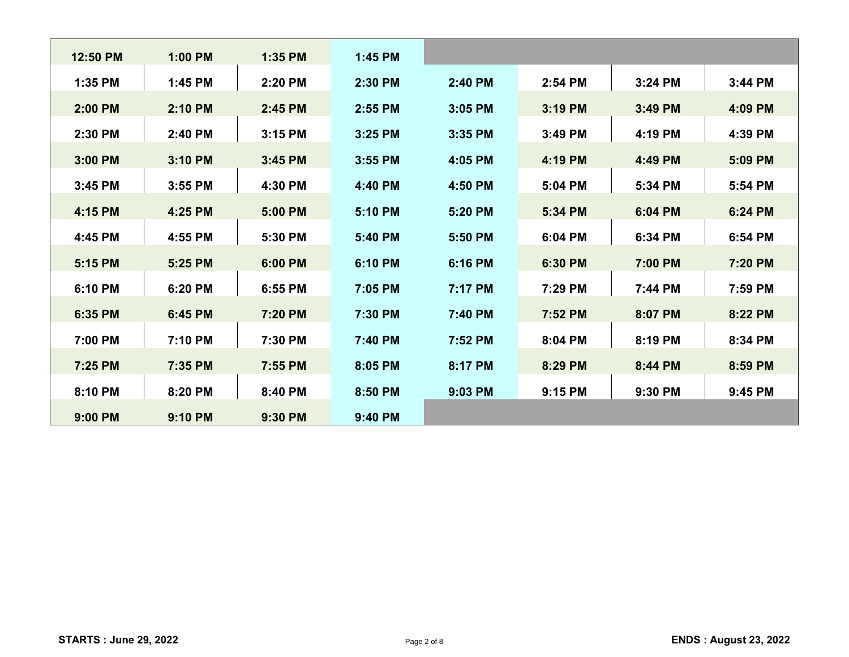| 12:50 PM | 1:00 PM | 1:35 PM | 1:45 PM |         |         |         |         |
|----------|---------|---------|---------|---------|---------|---------|---------|
| 1:35 PM  | 1:45 PM | 2:20 PM | 2:30 PM | 2:40 PM | 2:54 PM | 3:24 PM | 3:44 PM |
| 2:00 PM  | 2:10 PM | 2:45 PM | 2:55 PM | 3:05 PM | 3:19 PM | 3:49 PM | 4:09 PM |
| 2:30 PM  | 2:40 PM | 3:15 PM | 3:25 PM | 3:35 PM | 3:49 PM | 4:19 PM | 4:39 PM |
| 3:00 PM  | 3:10 PM | 3:45 PM | 3:55 PM | 4:05 PM | 4:19 PM | 4:49 PM | 5:09 PM |
| 3:45 PM  | 3:55 PM | 4:30 PM | 4:40 PM | 4:50 PM | 5:04 PM | 5:34 PM | 5:54 PM |
| 4:15 PM  | 4:25 PM | 5:00 PM | 5:10 PM | 5:20 PM | 5:34 PM | 6:04 PM | 6:24 PM |
| 4:45 PM  | 4:55 PM | 5:30 PM | 5:40 PM | 5:50 PM | 6:04 PM | 6:34 PM | 6:54 PM |
| 5:15 PM  | 5:25 PM | 6:00 PM | 6:10 PM | 6:16 PM | 6:30 PM | 7:00 PM | 7:20 PM |
| 6:10 PM  | 6:20 PM | 6:55 PM | 7:05 PM | 7:17 PM | 7:29 PM | 7:44 PM | 7:59 PM |
| 6:35 PM  | 6:45 PM | 7:20 PM | 7:30 PM | 7:40 PM | 7:52 PM | 8:07 PM | 8:22 PM |
|          |         |         |         |         |         |         |         |
| 7:00 PM  | 7:10 PM | 7:30 PM | 7:40 PM | 7:52 PM | 8:04 PM | 8:19 PM | 8:34 PM |
| 7:25 PM  | 7:35 PM | 7:55 PM | 8:05 PM | 8:17 PM | 8:29 PM | 8:44 PM | 8:59 PM |
| 8:10 PM  | 8:20 PM | 8:40 PM | 8:50 PM | 9:03 PM | 9:15 PM | 9:30 PM | 9:45 PM |
| 9:00 PM  | 9:10 PM | 9:30 PM | 9:40 PM |         |         |         |         |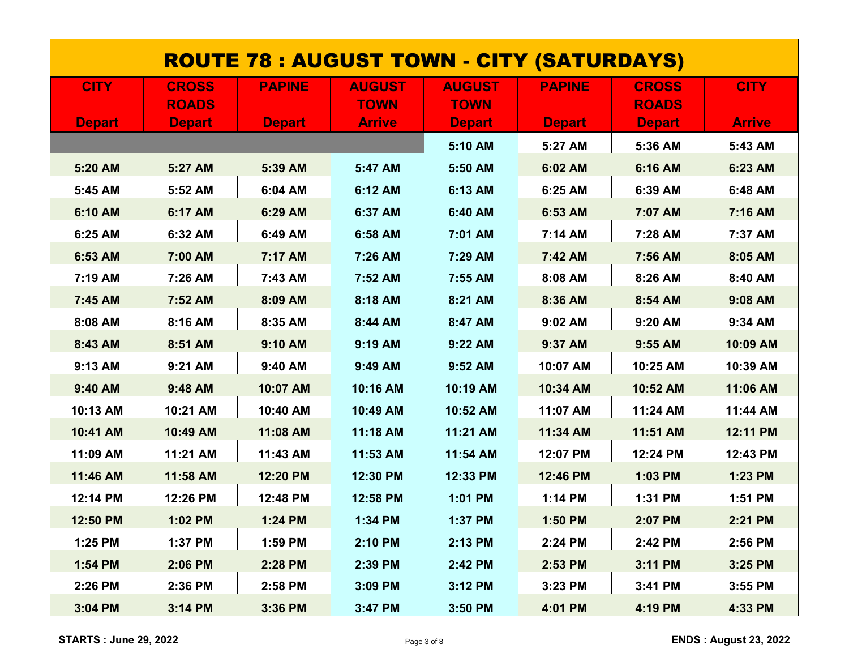| <u> ROUTE 78 : AUGUST TOWN - CITY (SATURDAYS)</u> |               |               |               |               |               |               |               |  |  |
|---------------------------------------------------|---------------|---------------|---------------|---------------|---------------|---------------|---------------|--|--|
| <b>CITY</b>                                       | <b>CROSS</b>  | <b>PAPINE</b> | <b>AUGUST</b> | <b>AUGUST</b> | <b>PAPINE</b> | <b>CROSS</b>  | <b>CITY</b>   |  |  |
|                                                   | <b>ROADS</b>  |               | <b>TOWN</b>   | <b>TOWN</b>   |               | <b>ROADS</b>  |               |  |  |
| <b>Depart</b>                                     | <b>Depart</b> | <b>Depart</b> | <b>Arrive</b> | <b>Depart</b> | <b>Depart</b> | <b>Depart</b> | <b>Arrive</b> |  |  |
|                                                   |               |               |               | 5:10 AM       | 5:27 AM       | 5:36 AM       | 5:43 AM       |  |  |
| 5:20 AM                                           | 5:27 AM       | 5:39 AM       | 5:47 AM       | 5:50 AM       | 6:02 AM       | 6:16 AM       | 6:23 AM       |  |  |
| 5:45 AM                                           | 5:52 AM       | 6:04 AM       | 6:12 AM       | 6:13 AM       | 6:25 AM       | 6:39 AM       | 6:48 AM       |  |  |
| 6:10 AM                                           | 6:17 AM       | 6:29 AM       | 6:37 AM       | 6:40 AM       | 6:53 AM       | 7:07 AM       | 7:16 AM       |  |  |
| 6:25 AM                                           | 6:32 AM       | 6:49 AM       | 6:58 AM       | 7:01 AM       | 7:14 AM       | 7:28 AM       | 7:37 AM       |  |  |
| 6:53 AM                                           | 7:00 AM       | 7:17 AM       | 7:26 AM       | 7:29 AM       | 7:42 AM       | 7:56 AM       | 8:05 AM       |  |  |
| 7:19 AM                                           | 7:26 AM       | 7:43 AM       | 7:52 AM       | 7:55 AM       | 8:08 AM       | 8:26 AM       | 8:40 AM       |  |  |
| 7:45 AM                                           | 7:52 AM       | 8:09 AM       | 8:18 AM       | 8:21 AM       | 8:36 AM       | 8:54 AM       | 9:08 AM       |  |  |
| 8:08 AM                                           | 8:16 AM       | 8:35 AM       | 8:44 AM       | 8:47 AM       | 9:02 AM       | 9:20 AM       | 9:34 AM       |  |  |
| 8:43 AM                                           | 8:51 AM       | 9:10 AM       | 9:19 AM       | 9:22 AM       | 9:37 AM       | 9:55 AM       | 10:09 AM      |  |  |
| 9:13 AM                                           | $9:21$ AM     | 9:40 AM       | 9:49 AM       | $9:52$ AM     | 10:07 AM      | 10:25 AM      | 10:39 AM      |  |  |
| 9:40 AM                                           | 9:48 AM       | 10:07 AM      | 10:16 AM      | 10:19 AM      | 10:34 AM      | 10:52 AM      | 11:06 AM      |  |  |
| 10:13 AM                                          | 10:21 AM      | 10:40 AM      | 10:49 AM      | 10:52 AM      | 11:07 AM      | 11:24 AM      | 11:44 AM      |  |  |
| 10:41 AM                                          | 10:49 AM      | 11:08 AM      | 11:18 AM      | 11:21 AM      | 11:34 AM      | 11:51 AM      | 12:11 PM      |  |  |
| 11:09 AM                                          | 11:21 AM      | 11:43 AM      | 11:53 AM      | 11:54 AM      | 12:07 PM      | 12:24 PM      | 12:43 PM      |  |  |
| 11:46 AM                                          | 11:58 AM      | 12:20 PM      | 12:30 PM      | 12:33 PM      | 12:46 PM      | 1:03 PM       | 1:23 PM       |  |  |
| 12:14 PM                                          | 12:26 PM      | 12:48 PM      | 12:58 PM      | 1:01 PM       | 1:14 PM       | 1:31 PM       | 1:51 PM       |  |  |
| 12:50 PM                                          | 1:02 PM       | 1:24 PM       | 1:34 PM       | 1:37 PM       | 1:50 PM       | 2:07 PM       | 2:21 PM       |  |  |
| 1:25 PM                                           | 1:37 PM       | 1:59 PM       | 2:10 PM       | 2:13 PM       | 2:24 PM       | 2:42 PM       | 2:56 PM       |  |  |
| 1:54 PM                                           | 2:06 PM       | 2:28 PM       | 2:39 PM       | 2:42 PM       | 2:53 PM       | 3:11 PM       | 3:25 PM       |  |  |
| 2:26 PM                                           | 2:36 PM       | 2:58 PM       | 3:09 PM       | $3:12$ PM     | 3:23 PM       | 3:41 PM       | 3:55 PM       |  |  |
| 3:04 PM                                           | 3:14 PM       | 3:36 PM       | 3:47 PM       | 3:50 PM       | 4:01 PM       | 4:19 PM       | 4:33 PM       |  |  |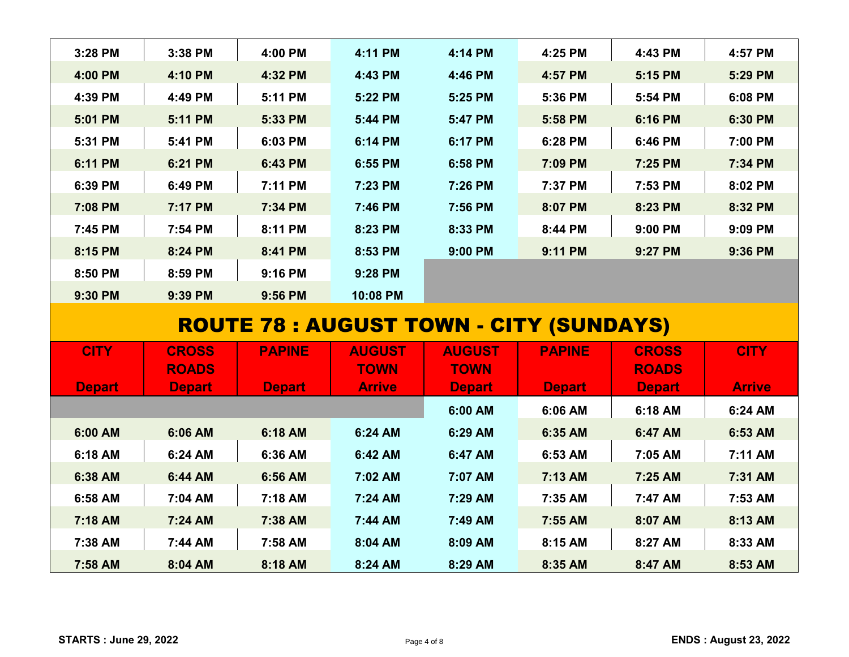| 3:28 PM                                        | 3:38 PM                      | 4:00 PM       | 4:11 PM                      | 4:14 PM                      | 4:25 PM       | 4:43 PM                      | 4:57 PM       |  |  |
|------------------------------------------------|------------------------------|---------------|------------------------------|------------------------------|---------------|------------------------------|---------------|--|--|
| 4:00 PM                                        | 4:10 PM                      | 4:32 PM       | 4:43 PM                      | 4:46 PM                      | 4:57 PM       | 5:15 PM                      | 5:29 PM       |  |  |
| 4:39 PM                                        | 4:49 PM                      | 5:11 PM       | 5:22 PM                      | 5:25 PM                      | 5:36 PM       | 5:54 PM                      | 6:08 PM       |  |  |
| 5:01 PM                                        | 5:11 PM                      | 5:33 PM       | 5:44 PM                      | 5:47 PM                      | 5:58 PM       | 6:16 PM                      | 6:30 PM       |  |  |
| 5:31 PM                                        | 5:41 PM                      | 6:03 PM       | 6:14 PM                      | 6:17 PM                      | 6:28 PM       | 6:46 PM                      | 7:00 PM       |  |  |
| 6:11 PM                                        | 6:21 PM                      | 6:43 PM       | 6:55 PM                      | 6:58 PM                      | 7:09 PM       | 7:25 PM                      | 7:34 PM       |  |  |
| 6:39 PM                                        | 6:49 PM                      | 7:11 PM       | 7:23 PM                      | 7:26 PM                      | 7:37 PM       | 7:53 PM                      | 8:02 PM       |  |  |
| 7:08 PM                                        | 7:17 PM                      | 7:34 PM       | 7:46 PM                      | 7:56 PM                      | 8:07 PM       | 8:23 PM                      | 8:32 PM       |  |  |
| 7:45 PM                                        | 7:54 PM                      | 8:11 PM       | 8:23 PM                      | 8:33 PM                      | 8:44 PM       | 9:00 PM                      | 9:09 PM       |  |  |
| 8:15 PM                                        | 8:24 PM                      | 8:41 PM       | 8:53 PM                      | 9:00 PM                      | 9:11 PM       | 9:27 PM                      | 9:36 PM       |  |  |
| 8:50 PM                                        | 8:59 PM                      | 9:16 PM       | 9:28 PM                      |                              |               |                              |               |  |  |
| 9:30 PM                                        | 9:39 PM                      | 9:56 PM       | 10:08 PM                     |                              |               |                              |               |  |  |
| <b>ROUTE 78 : AUGUST TOWN - CITY (SUNDAYS)</b> |                              |               |                              |                              |               |                              |               |  |  |
|                                                |                              |               |                              |                              |               |                              |               |  |  |
|                                                |                              |               |                              |                              |               |                              |               |  |  |
| <b>CITY</b>                                    | <b>CROSS</b><br><b>ROADS</b> | <b>PAPINE</b> | <b>AUGUST</b><br><b>TOWN</b> | <b>AUGUST</b><br><b>TOWN</b> | <b>PAPINE</b> | <b>CROSS</b><br><b>ROADS</b> | <b>CITY</b>   |  |  |
| <b>Depart</b>                                  | <b>Depart</b>                | <b>Depart</b> | <b>Arrive</b>                | <b>Depart</b>                | <b>Depart</b> | <b>Depart</b>                | <b>Arrive</b> |  |  |
|                                                |                              |               |                              | 6:00 AM                      | 6:06 AM       | 6:18 AM                      | 6:24 AM       |  |  |
| 6:00 AM                                        | 6:06 AM                      | 6:18 AM       | 6:24 AM                      | 6:29 AM                      | 6:35 AM       | 6:47 AM                      | 6:53 AM       |  |  |
| 6:18 AM                                        | 6:24 AM                      | 6:36 AM       | 6:42 AM                      | 6:47 AM                      | 6:53 AM       | 7:05 AM                      | 7:11 AM       |  |  |
| 6:38 AM                                        | 6:44 AM                      | 6:56 AM       | 7:02 AM                      | 7:07 AM                      | 7:13 AM       | 7:25 AM                      | 7:31 AM       |  |  |
| 6:58 AM                                        | 7:04 AM                      | 7:18 AM       | 7:24 AM                      | 7:29 AM                      | 7:35 AM       | 7:47 AM                      | 7:53 AM       |  |  |
| 7:18 AM                                        | 7:24 AM                      | 7:38 AM       | 7:44 AM                      | 7:49 AM                      | 7:55 AM       | 8:07 AM                      | 8:13 AM       |  |  |
| 7:38 AM                                        | 7:44 AM                      | 7:58 AM       | 8:04 AM                      | 8:09 AM                      | 8:15 AM       | 8:27 AM                      | 8:33 AM       |  |  |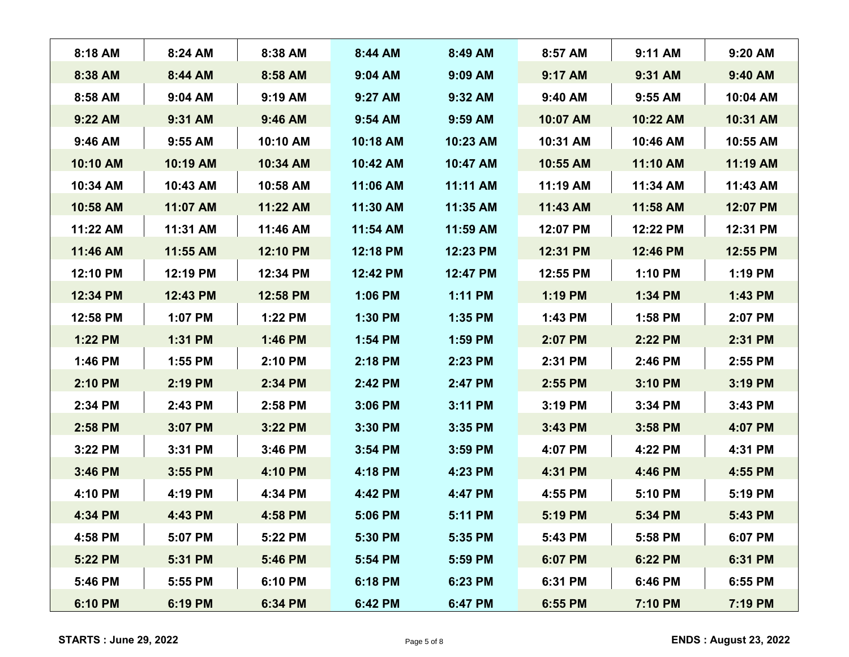| 8:18 AM  | 8:24 AM   | 8:38 AM   | 8:44 AM   | 8:49 AM   | 8:57 AM  | 9:11 AM  | 9:20 AM  |
|----------|-----------|-----------|-----------|-----------|----------|----------|----------|
| 8:38 AM  | 8:44 AM   | 8:58 AM   | 9:04 AM   | 9:09 AM   | 9:17 AM  | 9:31 AM  | 9:40 AM  |
| 8:58 AM  | $9:04$ AM | $9:19$ AM | $9:27$ AM | 9:32 AM   | 9:40 AM  | 9:55 AM  | 10:04 AM |
| 9:22 AM  | $9:31$ AM | 9:46 AM   | 9:54 AM   | 9:59 AM   | 10:07 AM | 10:22 AM | 10:31 AM |
| 9:46 AM  | $9:55$ AM | 10:10 AM  | 10:18 AM  | 10:23 AM  | 10:31 AM | 10:46 AM | 10:55 AM |
| 10:10 AM | 10:19 AM  | 10:34 AM  | 10:42 AM  | 10:47 AM  | 10:55 AM | 11:10 AM | 11:19 AM |
| 10:34 AM | 10:43 AM  | 10:58 AM  | 11:06 AM  | 11:11 AM  | 11:19 AM | 11:34 AM | 11:43 AM |
| 10:58 AM | 11:07 AM  | 11:22 AM  | 11:30 AM  | 11:35 AM  | 11:43 AM | 11:58 AM | 12:07 PM |
| 11:22 AM | 11:31 AM  | 11:46 AM  | 11:54 AM  | 11:59 AM  | 12:07 PM | 12:22 PM | 12:31 PM |
| 11:46 AM | 11:55 AM  | 12:10 PM  | 12:18 PM  | 12:23 PM  | 12:31 PM | 12:46 PM | 12:55 PM |
| 12:10 PM | 12:19 PM  | 12:34 PM  | 12:42 PM  | 12:47 PM  | 12:55 PM | 1:10 PM  | 1:19 PM  |
| 12:34 PM | 12:43 PM  | 12:58 PM  | 1:06 PM   | 1:11 PM   | 1:19 PM  | 1:34 PM  | 1:43 PM  |
| 12:58 PM | 1:07 PM   | 1:22 PM   | 1:30 PM   | 1:35 PM   | 1:43 PM  | 1:58 PM  | 2:07 PM  |
| 1:22 PM  | 1:31 PM   | 1:46 PM   | 1:54 PM   | 1:59 PM   | 2:07 PM  | 2:22 PM  | 2:31 PM  |
| 1:46 PM  | $1:55$ PM | 2:10 PM   | 2:18 PM   | 2:23 PM   | 2:31 PM  | 2:46 PM  | 2:55 PM  |
| 2:10 PM  | 2:19 PM   | 2:34 PM   | 2:42 PM   | 2:47 PM   | 2:55 PM  | 3:10 PM  | 3:19 PM  |
| 2:34 PM  | 2:43 PM   | 2:58 PM   | 3:06 PM   | 3:11 PM   | 3:19 PM  | 3:34 PM  | 3:43 PM  |
| 2:58 PM  | 3:07 PM   | 3:22 PM   | 3:30 PM   | 3:35 PM   | 3:43 PM  | 3:58 PM  | 4:07 PM  |
| 3:22 PM  | 3:31 PM   | 3:46 PM   | $3:54$ PM | $3:59$ PM | 4:07 PM  | 4:22 PM  | 4:31 PM  |
| 3:46 PM  | 3:55 PM   | 4:10 PM   | 4:18 PM   | 4:23 PM   | 4:31 PM  | 4:46 PM  | 4:55 PM  |
| 4:10 PM  | 4:19 PM   | 4:34 PM   | 4:42 PM   | 4:47 PM   | 4:55 PM  | 5:10 PM  | 5:19 PM  |
| 4:34 PM  | 4:43 PM   | 4:58 PM   | 5:06 PM   | 5:11 PM   | 5:19 PM  | 5:34 PM  | 5:43 PM  |
| 4:58 PM  | 5:07 PM   | 5:22 PM   | 5:30 PM   | 5:35 PM   | 5:43 PM  | 5:58 PM  | 6:07 PM  |
| 5:22 PM  | 5:31 PM   | 5:46 PM   | 5:54 PM   | 5:59 PM   | 6:07 PM  | 6:22 PM  | 6:31 PM  |
| 5:46 PM  | 5:55 PM   | 6:10 PM   | 6:18 PM   | 6:23 PM   | 6:31 PM  | 6:46 PM  | 6:55 PM  |
| 6:10 PM  | 6:19 PM   | 6:34 PM   | 6:42 PM   | 6:47 PM   | 6:55 PM  | 7:10 PM  | 7:19 PM  |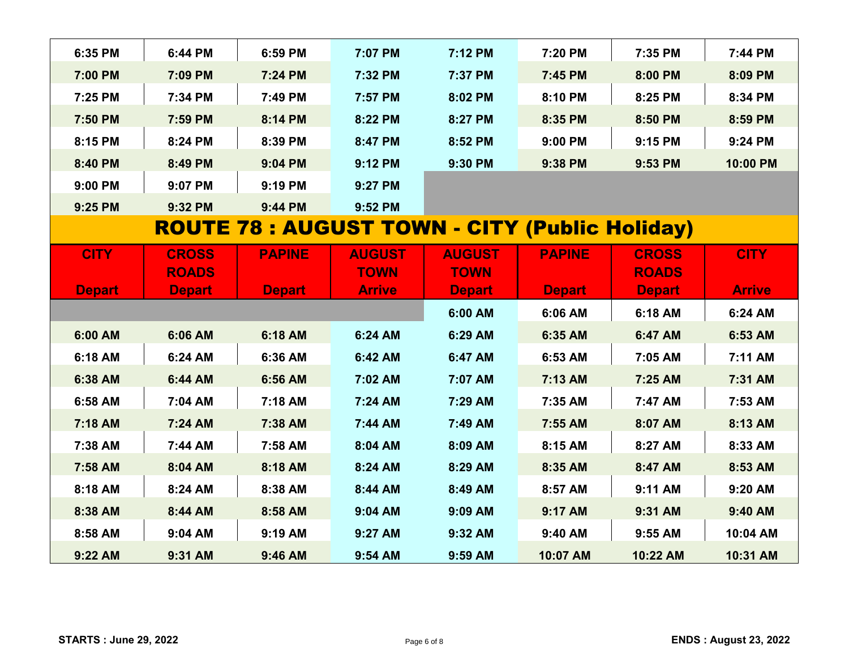| 6:35 PM       | 6:44 PM       | 6:59 PM       | 7:07 PM       | 7:12 PM                                               | 7:20 PM       | 7:35 PM       | 7:44 PM       |
|---------------|---------------|---------------|---------------|-------------------------------------------------------|---------------|---------------|---------------|
| 7:00 PM       | 7:09 PM       | 7:24 PM       | 7:32 PM       | 7:37 PM                                               | 7:45 PM       | 8:00 PM       | 8:09 PM       |
| 7:25 PM       | 7:34 PM       | 7:49 PM       | 7:57 PM       | 8:02 PM                                               | 8:10 PM       | 8:25 PM       | 8:34 PM       |
| 7:50 PM       | 7:59 PM       | 8:14 PM       | 8:22 PM       | 8:27 PM                                               | 8:35 PM       | 8:50 PM       | 8:59 PM       |
| 8:15 PM       | 8:24 PM       | 8:39 PM       | 8:47 PM       | 8:52 PM                                               | 9:00 PM       | 9:15 PM       | 9:24 PM       |
| 8:40 PM       | 8:49 PM       | 9:04 PM       | 9:12 PM       | 9:30 PM                                               | 9:38 PM       | 9:53 PM       | 10:00 PM      |
| 9:00 PM       | 9:07 PM       | 9:19 PM       | 9:27 PM       |                                                       |               |               |               |
| 9:25 PM       | 9:32 PM       | 9:44 PM       | 9:52 PM       |                                                       |               |               |               |
|               |               |               |               | <b>ROUTE 78 : AUGUST TOWN - CITY (Public Holiday)</b> |               |               |               |
| <b>CITY</b>   | <b>CROSS</b>  | <b>PAPINE</b> | <b>AUGUST</b> | <b>AUGUST</b>                                         | <b>PAPINE</b> | <b>CROSS</b>  | <b>CITY</b>   |
|               | <b>ROADS</b>  |               | <b>TOWN</b>   | <b>TOWN</b>                                           |               | <b>ROADS</b>  |               |
| <b>Depart</b> | <b>Depart</b> | <b>Depart</b> | <b>Arrive</b> | <b>Depart</b>                                         | <b>Depart</b> | <b>Depart</b> | <b>Arrive</b> |
|               |               |               |               | 6:00 AM                                               | 6:06 AM       | 6:18 AM       | 6:24 AM       |
| 6:00 AM       | 6:06 AM       | 6:18 AM       | 6:24 AM       | 6:29 AM                                               | 6:35 AM       | 6:47 AM       | 6:53 AM       |
| 6:18 AM       | 6:24 AM       | 6:36 AM       | 6:42 AM       | 6:47 AM                                               | 6:53 AM       | 7:05 AM       | 7:11 AM       |
| 6:38 AM       | 6:44 AM       | 6:56 AM       | 7:02 AM       | 7:07 AM                                               | 7:13 AM       | 7:25 AM       | 7:31 AM       |
| 6:58 AM       | 7:04 AM       | 7:18 AM       | 7:24 AM       | 7:29 AM                                               | 7:35 AM       | 7:47 AM       | 7:53 AM       |
| 7:18 AM       | 7:24 AM       | 7:38 AM       | 7:44 AM       | 7:49 AM                                               | 7:55 AM       | 8:07 AM       | 8:13 AM       |
| 7:38 AM       | 7:44 AM       | 7:58 AM       | 8:04 AM       | 8:09 AM                                               | 8:15 AM       | 8:27 AM       | 8:33 AM       |
| 7:58 AM       | 8:04 AM       | 8:18 AM       | 8:24 AM       | 8:29 AM                                               | 8:35 AM       | 8:47 AM       | 8:53 AM       |
| 8:18 AM       | 8:24 AM       | 8:38 AM       | 8:44 AM       | 8:49 AM                                               | 8:57 AM       | 9:11 AM       | 9:20 AM       |
| 8:38 AM       | 8:44 AM       | 8:58 AM       | 9:04 AM       | 9:09 AM                                               | 9:17 AM       | 9:31 AM       | 9:40 AM       |
| 8:58 AM       | 9:04 AM       | 9:19 AM       | 9:27 AM       | 9:32 AM                                               | 9:40 AM       | 9:55 AM       | 10:04 AM      |
| 9:22 AM       | 9:31 AM       | 9:46 AM       | 9:54 AM       | 9:59 AM                                               | 10:07 AM      | 10:22 AM      | 10:31 AM      |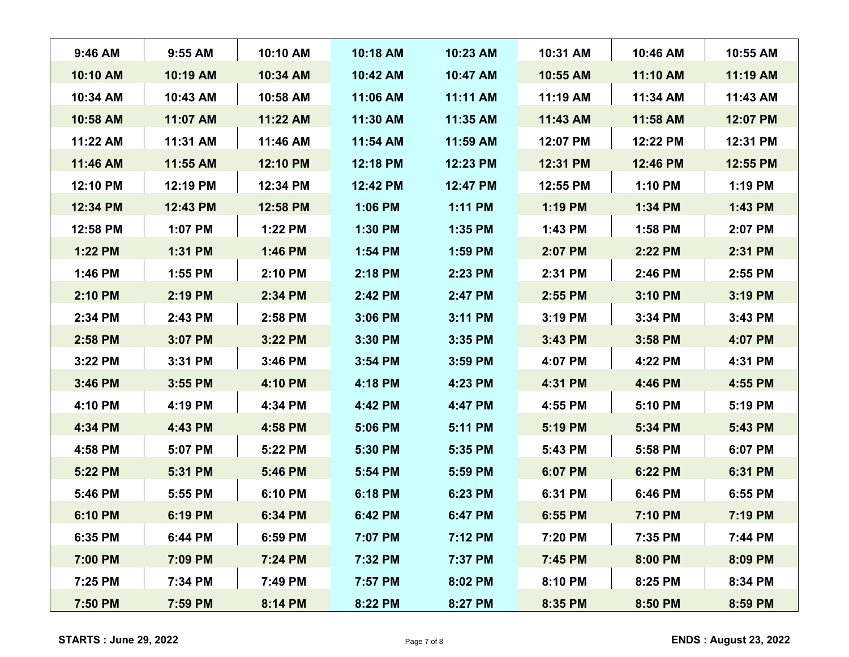| $9:46$ AM | $9:55$ AM | 10:10 AM | 10:18 AM  | 10:23 AM  | 10:31 AM  | 10:46 AM | 10:55 AM |
|-----------|-----------|----------|-----------|-----------|-----------|----------|----------|
| 10:10 AM  | 10:19 AM  | 10:34 AM | 10:42 AM  | 10:47 AM  | 10:55 AM  | 11:10 AM | 11:19 AM |
| 10:34 AM  | 10:43 AM  | 10:58 AM | 11:06 AM  | 11:11 AM  | 11:19 AM  | 11:34 AM | 11:43 AM |
| 10:58 AM  | 11:07 AM  | 11:22 AM | 11:30 AM  | 11:35 AM  | 11:43 AM  | 11:58 AM | 12:07 PM |
| 11:22 AM  | 11:31 AM  | 11:46 AM | 11:54 AM  | 11:59 AM  | 12:07 PM  | 12:22 PM | 12:31 PM |
| 11:46 AM  | 11:55 AM  | 12:10 PM | 12:18 PM  | 12:23 PM  | 12:31 PM  | 12:46 PM | 12:55 PM |
| 12:10 PM  | 12:19 PM  | 12:34 PM | 12:42 PM  | 12:47 PM  | 12:55 PM  | 1:10 PM  | 1:19 PM  |
| 12:34 PM  | 12:43 PM  | 12:58 PM | 1:06 PM   | 1:11 PM   | 1:19 PM   | 1:34 PM  | 1:43 PM  |
| 12:58 PM  | 1:07 PM   | 1:22 PM  | 1:30 PM   | 1:35 PM   | 1:43 PM   | 1:58 PM  | 2:07 PM  |
| 1:22 PM   | 1:31 PM   | 1:46 PM  | 1:54 PM   | 1:59 PM   | 2:07 PM   | 2:22 PM  | 2:31 PM  |
| 1:46 PM   | 1:55 PM   | 2:10 PM  | 2:18 PM   | 2:23 PM   | 2:31 PM   | 2:46 PM  | 2:55 PM  |
| 2:10 PM   | 2:19 PM   | 2:34 PM  | 2:42 PM   | 2:47 PM   | 2:55 PM   | 3:10 PM  | 3:19 PM  |
| 2:34 PM   | 2:43 PM   | 2:58 PM  | 3:06 PM   | 3:11 PM   | $3:19$ PM | 3:34 PM  | 3:43 PM  |
| 2:58 PM   | 3:07 PM   | 3:22 PM  | 3:30 PM   | 3:35 PM   | 3:43 PM   | 3:58 PM  | 4:07 PM  |
| 3:22 PM   | 3:31 PM   | 3:46 PM  | $3:54$ PM | $3:59$ PM | 4:07 PM   | 4:22 PM  | 4:31 PM  |
| 3:46 PM   | 3:55 PM   | 4:10 PM  | 4:18 PM   | 4:23 PM   | 4:31 PM   | 4:46 PM  | 4:55 PM  |
| 4:10 PM   | 4:19 PM   | 4:34 PM  | 4:42 PM   | 4:47 PM   | 4:55 PM   | 5:10 PM  | 5:19 PM  |
| 4:34 PM   | 4:43 PM   | 4:58 PM  | 5:06 PM   | 5:11 PM   | 5:19 PM   | 5:34 PM  | 5:43 PM  |
| 4:58 PM   | 5:07 PM   | 5:22 PM  | 5:30 PM   | 5:35 PM   | 5:43 PM   | 5:58 PM  | 6:07 PM  |
| 5:22 PM   | 5:31 PM   | 5:46 PM  | 5:54 PM   | 5:59 PM   | 6:07 PM   | 6:22 PM  | 6:31 PM  |
| 5:46 PM   | 5:55 PM   | 6:10 PM  | 6:18 PM   | 6:23 PM   | 6:31 PM   | 6:46 PM  | 6:55 PM  |
| 6:10 PM   | 6:19 PM   | 6:34 PM  | 6:42 PM   | 6:47 PM   | 6:55 PM   | 7:10 PM  | 7:19 PM  |
| 6:35 PM   | 6:44 PM   | 6:59 PM  | 7:07 PM   | 7:12 PM   | 7:20 PM   | 7:35 PM  | 7:44 PM  |
| 7:00 PM   | 7:09 PM   | 7:24 PM  | 7:32 PM   | 7:37 PM   | 7:45 PM   | 8:00 PM  | 8:09 PM  |
| 7:25 PM   | 7:34 PM   | 7:49 PM  | 7:57 PM   | 8:02 PM   | 8:10 PM   | 8:25 PM  | 8:34 PM  |
| 7:50 PM   | 7:59 PM   | 8:14 PM  | 8:22 PM   | 8:27 PM   | 8:35 PM   | 8:50 PM  | 8:59 PM  |